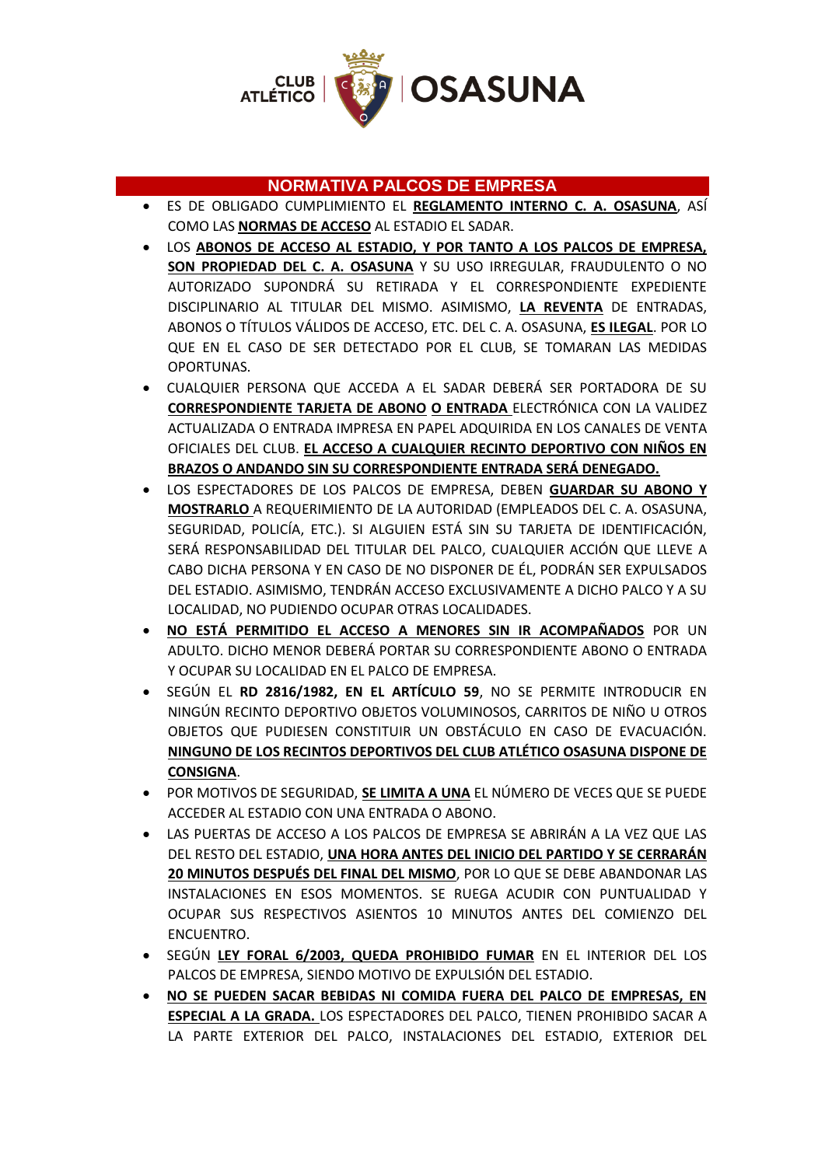

## **NORMATIVA PALCOS DE EMPRESA**

- ES DE OBLIGADO CUMPLIMIENTO EL **REGLAMENTO INTERNO C. A. OSASUNA**, ASÍ COMO LAS **NORMAS DE ACCESO** AL ESTADIO EL SADAR.
- LOS **ABONOS DE ACCESO AL ESTADIO, Y POR TANTO A LOS PALCOS DE EMPRESA, SON PROPIEDAD DEL C. A. OSASUNA** Y SU USO IRREGULAR, FRAUDULENTO O NO AUTORIZADO SUPONDRÁ SU RETIRADA Y EL CORRESPONDIENTE EXPEDIENTE DISCIPLINARIO AL TITULAR DEL MISMO. ASIMISMO, **LA REVENTA** DE ENTRADAS, ABONOS O TÍTULOS VÁLIDOS DE ACCESO, ETC. DEL C. A. OSASUNA, **ES ILEGAL**. POR LO QUE EN EL CASO DE SER DETECTADO POR EL CLUB, SE TOMARAN LAS MEDIDAS OPORTUNAS.
- CUALQUIER PERSONA QUE ACCEDA A EL SADAR DEBERÁ SER PORTADORA DE SU **CORRESPONDIENTE TARJETA DE ABONO O ENTRADA** ELECTRÓNICA CON LA VALIDEZ ACTUALIZADA O ENTRADA IMPRESA EN PAPEL ADQUIRIDA EN LOS CANALES DE VENTA OFICIALES DEL CLUB. **EL ACCESO A CUALQUIER RECINTO DEPORTIVO CON NIÑOS EN BRAZOS O ANDANDO SIN SU CORRESPONDIENTE ENTRADA SERÁ DENEGADO.**
- LOS ESPECTADORES DE LOS PALCOS DE EMPRESA, DEBEN **GUARDAR SU ABONO Y MOSTRARLO** A REQUERIMIENTO DE LA AUTORIDAD (EMPLEADOS DEL C. A. OSASUNA, SEGURIDAD, POLICÍA, ETC.). SI ALGUIEN ESTÁ SIN SU TARJETA DE IDENTIFICACIÓN, SERÁ RESPONSABILIDAD DEL TITULAR DEL PALCO, CUALQUIER ACCIÓN QUE LLEVE A CABO DICHA PERSONA Y EN CASO DE NO DISPONER DE ÉL, PODRÁN SER EXPULSADOS DEL ESTADIO. ASIMISMO, TENDRÁN ACCESO EXCLUSIVAMENTE A DICHO PALCO Y A SU LOCALIDAD, NO PUDIENDO OCUPAR OTRAS LOCALIDADES.
- **NO ESTÁ PERMITIDO EL ACCESO A MENORES SIN IR ACOMPAÑADOS** POR UN ADULTO. DICHO MENOR DEBERÁ PORTAR SU CORRESPONDIENTE ABONO O ENTRADA Y OCUPAR SU LOCALIDAD EN EL PALCO DE EMPRESA.
- SEGÚN EL **RD 2816/1982, EN EL ARTÍCULO 59**, NO SE PERMITE INTRODUCIR EN NINGÚN RECINTO DEPORTIVO OBJETOS VOLUMINOSOS, CARRITOS DE NIÑO U OTROS OBJETOS QUE PUDIESEN CONSTITUIR UN OBSTÁCULO EN CASO DE EVACUACIÓN. **NINGUNO DE LOS RECINTOS DEPORTIVOS DEL CLUB ATLÉTICO OSASUNA DISPONE DE CONSIGNA**.
- POR MOTIVOS DE SEGURIDAD, **SE LIMITA A UNA** EL NÚMERO DE VECES QUE SE PUEDE ACCEDER AL ESTADIO CON UNA ENTRADA O ABONO.
- LAS PUERTAS DE ACCESO A LOS PALCOS DE EMPRESA SE ABRIRÁN A LA VEZ QUE LAS DEL RESTO DEL ESTADIO, **UNA HORA ANTES DEL INICIO DEL PARTIDO Y SE CERRARÁN 20 MINUTOS DESPUÉS DEL FINAL DEL MISMO**, POR LO QUE SE DEBE ABANDONAR LAS INSTALACIONES EN ESOS MOMENTOS. SE RUEGA ACUDIR CON PUNTUALIDAD Y OCUPAR SUS RESPECTIVOS ASIENTOS 10 MINUTOS ANTES DEL COMIENZO DEL ENCUENTRO.
- SEGÚN **LEY FORAL 6/2003, QUEDA PROHIBIDO FUMAR** EN EL INTERIOR DEL LOS PALCOS DE EMPRESA, SIENDO MOTIVO DE EXPULSIÓN DEL ESTADIO.
- **NO SE PUEDEN SACAR BEBIDAS NI COMIDA FUERA DEL PALCO DE EMPRESAS, EN ESPECIAL A LA GRADA.** LOS ESPECTADORES DEL PALCO, TIENEN PROHIBIDO SACAR A LA PARTE EXTERIOR DEL PALCO, INSTALACIONES DEL ESTADIO, EXTERIOR DEL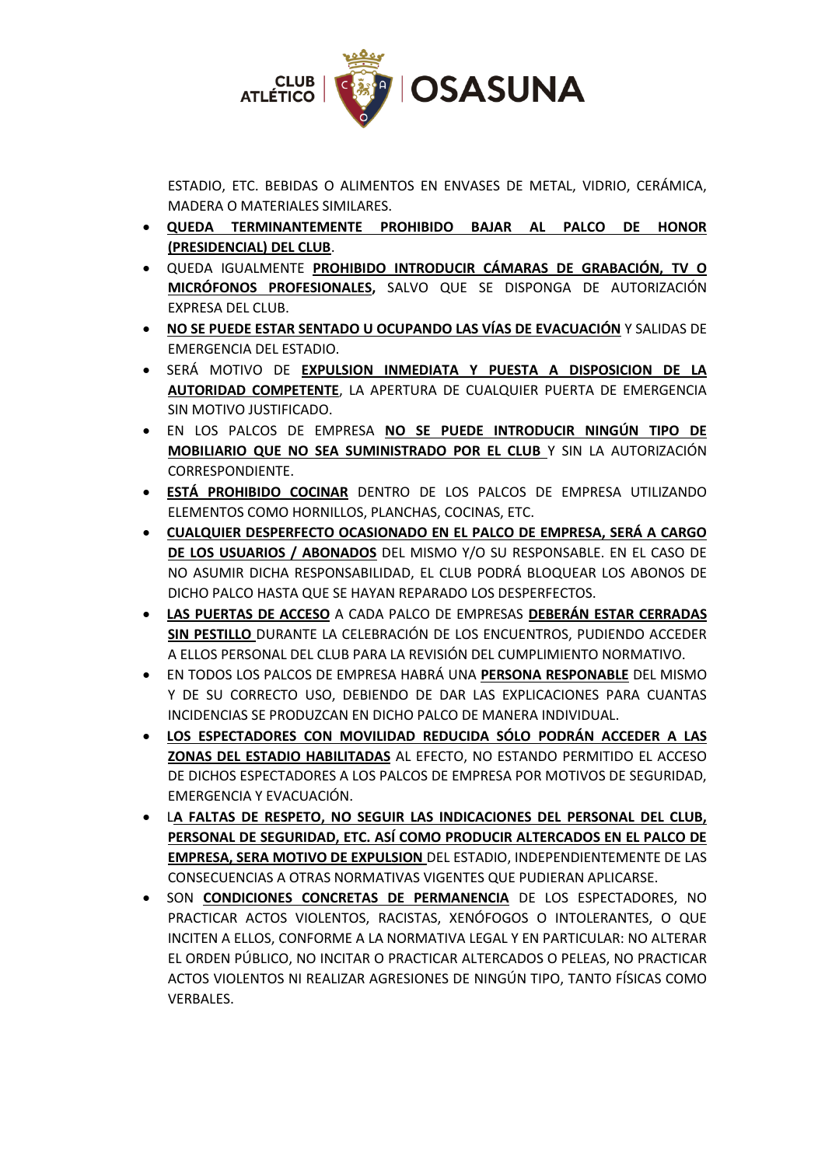

ESTADIO, ETC. BEBIDAS O ALIMENTOS EN ENVASES DE METAL, VIDRIO, CERÁMICA, MADERA O MATERIALES SIMILARES.

- **QUEDA TERMINANTEMENTE PROHIBIDO BAJAR AL PALCO DE HONOR (PRESIDENCIAL) DEL CLUB**.
- QUEDA IGUALMENTE **PROHIBIDO INTRODUCIR CÁMARAS DE GRABACIÓN, TV O MICRÓFONOS PROFESIONALES,** SALVO QUE SE DISPONGA DE AUTORIZACIÓN EXPRESA DEL CLUB.
- **NO SE PUEDE ESTAR SENTADO U OCUPANDO LAS VÍAS DE EVACUACIÓN** Y SALIDAS DE EMERGENCIA DEL ESTADIO.
- SERÁ MOTIVO DE **EXPULSION INMEDIATA Y PUESTA A DISPOSICION DE LA AUTORIDAD COMPETENTE**, LA APERTURA DE CUALQUIER PUERTA DE EMERGENCIA SIN MOTIVO JUSTIFICADO.
- EN LOS PALCOS DE EMPRESA **NO SE PUEDE INTRODUCIR NINGÚN TIPO DE MOBILIARIO QUE NO SEA SUMINISTRADO POR EL CLUB** Y SIN LA AUTORIZACIÓN CORRESPONDIENTE.
- **ESTÁ PROHIBIDO COCINAR** DENTRO DE LOS PALCOS DE EMPRESA UTILIZANDO ELEMENTOS COMO HORNILLOS, PLANCHAS, COCINAS, ETC.
- **CUALQUIER DESPERFECTO OCASIONADO EN EL PALCO DE EMPRESA, SERÁ A CARGO DE LOS USUARIOS / ABONADOS** DEL MISMO Y/O SU RESPONSABLE. EN EL CASO DE NO ASUMIR DICHA RESPONSABILIDAD, EL CLUB PODRÁ BLOQUEAR LOS ABONOS DE DICHO PALCO HASTA QUE SE HAYAN REPARADO LOS DESPERFECTOS.
- **LAS PUERTAS DE ACCESO** A CADA PALCO DE EMPRESAS **DEBERÁN ESTAR CERRADAS SIN PESTILLO** DURANTE LA CELEBRACIÓN DE LOS ENCUENTROS, PUDIENDO ACCEDER A ELLOS PERSONAL DEL CLUB PARA LA REVISIÓN DEL CUMPLIMIENTO NORMATIVO.
- EN TODOS LOS PALCOS DE EMPRESA HABRÁ UNA **PERSONA RESPONABLE** DEL MISMO Y DE SU CORRECTO USO, DEBIENDO DE DAR LAS EXPLICACIONES PARA CUANTAS INCIDENCIAS SE PRODUZCAN EN DICHO PALCO DE MANERA INDIVIDUAL.
- **LOS ESPECTADORES CON MOVILIDAD REDUCIDA SÓLO PODRÁN ACCEDER A LAS ZONAS DEL ESTADIO HABILITADAS** AL EFECTO, NO ESTANDO PERMITIDO EL ACCESO DE DICHOS ESPECTADORES A LOS PALCOS DE EMPRESA POR MOTIVOS DE SEGURIDAD, EMERGENCIA Y EVACUACIÓN.
- L**A FALTAS DE RESPETO, NO SEGUIR LAS INDICACIONES DEL PERSONAL DEL CLUB, PERSONAL DE SEGURIDAD, ETC. ASÍ COMO PRODUCIR ALTERCADOS EN EL PALCO DE EMPRESA, SERA MOTIVO DE EXPULSION** DEL ESTADIO, INDEPENDIENTEMENTE DE LAS CONSECUENCIAS A OTRAS NORMATIVAS VIGENTES QUE PUDIERAN APLICARSE.
- SON **CONDICIONES CONCRETAS DE PERMANENCIA** DE LOS ESPECTADORES, NO PRACTICAR ACTOS VIOLENTOS, RACISTAS, XENÓFOGOS O INTOLERANTES, O QUE INCITEN A ELLOS, CONFORME A LA NORMATIVA LEGAL Y EN PARTICULAR: NO ALTERAR EL ORDEN PÚBLICO, NO INCITAR O PRACTICAR ALTERCADOS O PELEAS, NO PRACTICAR ACTOS VIOLENTOS NI REALIZAR AGRESIONES DE NINGÚN TIPO, TANTO FÍSICAS COMO VERBALES.